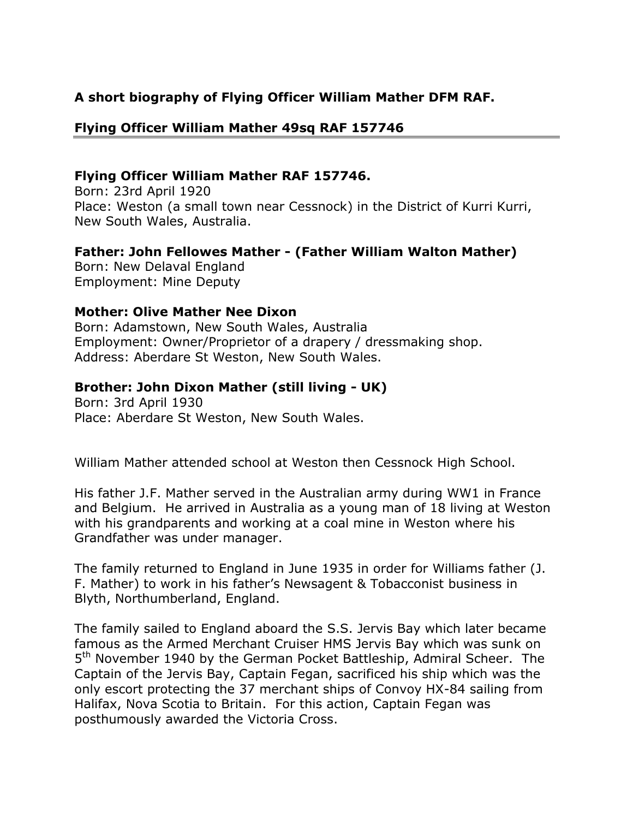# **A short biography of Flying Officer William Mather DFM RAF.**

## **Flying Officer William Mather 49sq RAF 157746**

#### **Flying Officer William Mather RAF 157746.**

Born: 23rd April 1920 Place: Weston (a small town near Cessnock) in the District of Kurri Kurri, New South Wales, Australia.

## **Father: John Fellowes Mather - (Father William Walton Mather)**

Born: New Delaval England Employment: Mine Deputy

## **Mother: Olive Mather Nee Dixon**

Born: Adamstown, New South Wales, Australia Employment: Owner/Proprietor of a drapery / dressmaking shop. Address: Aberdare St Weston, New South Wales.

## **Brother: John Dixon Mather (still living - UK)**

Born: 3rd April 1930 Place: Aberdare St Weston, New South Wales.

William Mather attended school at Weston then Cessnock High School.

His father J.F. Mather served in the Australian army during WW1 in France and Belgium. He arrived in Australia as a young man of 18 living at Weston with his grandparents and working at a coal mine in Weston where his Grandfather was under manager.

The family returned to England in June 1935 in order for Williams father (J. F. Mather) to work in his father's Newsagent & Tobacconist business in Blyth, Northumberland, England.

The family sailed to England aboard the S.S. Jervis Bay which later became famous as the Armed Merchant Cruiser HMS Jervis Bay which was sunk on 5<sup>th</sup> November 1940 by the German Pocket Battleship, Admiral Scheer. The Captain of the Jervis Bay, Captain Fegan, sacrificed his ship which was the only escort protecting the 37 merchant ships of Convoy HX-84 sailing from Halifax, Nova Scotia to Britain. For this action, Captain Fegan was posthumously awarded the Victoria Cross.